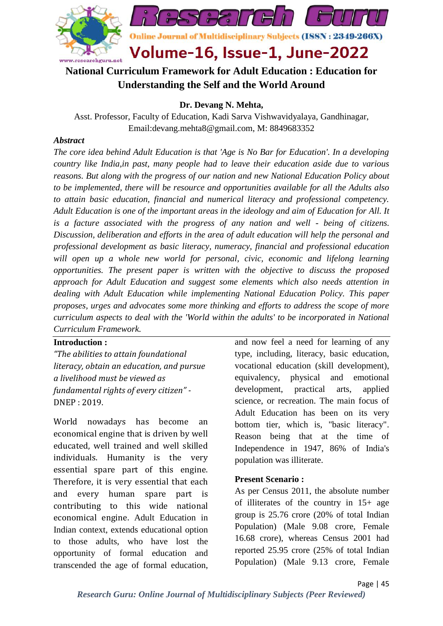

# **National Curriculum Framework for Adult Education : Education for Understanding the Self and the World Around**

**Dr. Devang N. Mehta,**

Asst. Professor, Faculty of Education, Kadi Sarva Vishwavidyalaya, Gandhinagar, Email:devang.mehta8@gmail.com, M: 8849683352

## *Abstract*

*The core idea behind Adult Education is that 'Age is No Bar for Education'. In a developing country like India,in past, many people had to leave their education aside due to various reasons. But along with the progress of our nation and new National Education Policy about to be implemented, there will be resource and opportunities available for all the Adults also to attain basic education, financial and numerical literacy and professional competency. Adult Education is one of the important areas in the ideology and aim of Education for All. It is a facture associated with the progress of any nation and well - being of citizens. Discussion, deliberation and efforts in the area of adult education will help the personal and professional development as basic literacy, numeracy, financial and professional education*  will open up a whole new world for personal, civic, economic and lifelong learning *opportunities. The present paper is written with the objective to discuss the proposed approach for Adult Education and suggest some elements which also needs attention in dealing with Adult Education while implementing National Education Policy. This paper proposes, urges and advocates some more thinking and efforts to address the scope of more curriculum aspects to deal with the 'World within the adults' to be incorporated in National Curriculum Framework.*

## **Introduction :**

*"The abilities to attain foundational literacy, obtain an education, and pursue a livelihood must be viewed as fundamental rights of every citizen" -* DNEP : 2019.

World nowadays has become an economical engine that is driven by well educated, well trained and well skilled individuals. Humanity is the very essential spare part of this engine. Therefore, it is very essential that each and every human spare part is contributing to this wide national economical engine. Adult Education in Indian context, extends educational option to those adults, who have lost the opportunity of formal education and transcended the age of formal education,

and now feel a need for learning of any type, including, literacy, basic education, vocational education (skill development), equivalency, physical and emotional development, practical arts, applied science, or recreation. The main focus of Adult Education has been on its very bottom tier, which is, "basic literacy". Reason being that at the time of Independence in 1947, 86% of India's population was illiterate.

#### **Present Scenario :**

As per Census 2011, the absolute number of illiterates of the country in 15+ age group is 25.76 crore (20% of total Indian Population) (Male 9.08 crore, Female 16.68 crore), whereas Census 2001 had reported 25.95 crore (25% of total Indian Population) (Male 9.13 crore, Female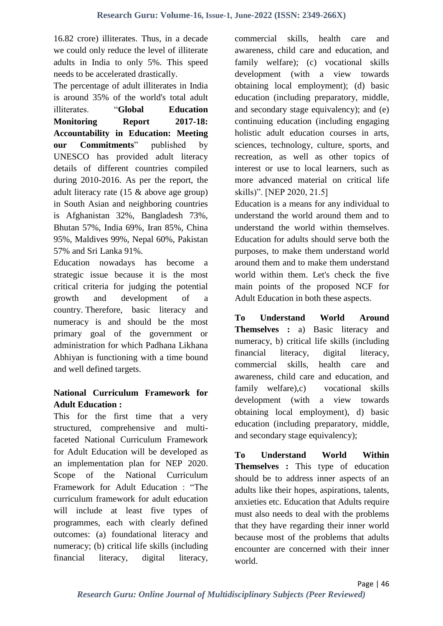16.82 crore) illiterates. Thus, in a decade we could only reduce the level of illiterate adults in India to only 5%. This speed needs to be accelerated drastically.

The percentage of adult illiterates in India is around 35% of the world's total adult illiterates. "**Global Education Monitoring Report 2017-18: Accountability in Education: Meeting our Commitments**" published by UNESCO has provided adult literacy details of different countries compiled during 2010-2016. As per the report, the adult literacy rate (15 & above age group) in South Asian and neighboring countries is Afghanistan 32%, Bangladesh 73%, Bhutan 57%, India 69%, Iran 85%, China 95%, Maldives 99%, Nepal 60%, Pakistan 57% and Sri Lanka 91%.

Education nowadays has become a strategic issue because it is the most critical criteria for judging the potential growth and development of a country. Therefore, basic literacy and numeracy is and should be the most primary goal of the government or administration for which Padhana Likhana Abhiyan is functioning with a time bound and well defined targets.

## **National Curriculum Framework for Adult Education :**

This for the first time that a very structured, comprehensive and multifaceted National Curriculum Framework for Adult Education will be developed as an implementation plan for NEP 2020. Scope of the National Curriculum Framework for Adult Education : "The curriculum framework for adult education will include at least five types of programmes, each with clearly defined outcomes: (a) foundational literacy and numeracy; (b) critical life skills (including financial literacy, digital literacy,

commercial skills, health care and awareness, child care and education, and family welfare); (c) vocational skills development (with a view towards obtaining local employment); (d) basic education (including preparatory, middle, and secondary stage equivalency); and (e) continuing education (including engaging holistic adult education courses in arts, sciences, technology, culture, sports, and recreation, as well as other topics of interest or use to local learners, such as more advanced material on critical life skills)". [NEP 2020, 21.5]

Education is a means for any individual to understand the world around them and to understand the world within themselves. Education for adults should serve both the purposes, to make them understand world around them and to make them understand world within them. Let's check the five main points of the proposed NCF for Adult Education in both these aspects.

**To Understand World Around Themselves :** a) Basic literacy and numeracy, b) critical life skills (including financial literacy, digital literacy, commercial skills, health care and awareness, child care and education, and family welfare),c) vocational skills development (with a view towards obtaining local employment), d) basic education (including preparatory, middle, and secondary stage equivalency):

**To Understand World Within Themselves** : This type of education should be to address inner aspects of an adults like their hopes, aspirations, talents, anxieties etc. Education that Adults require must also needs to deal with the problems that they have regarding their inner world because most of the problems that adults encounter are concerned with their inner world.